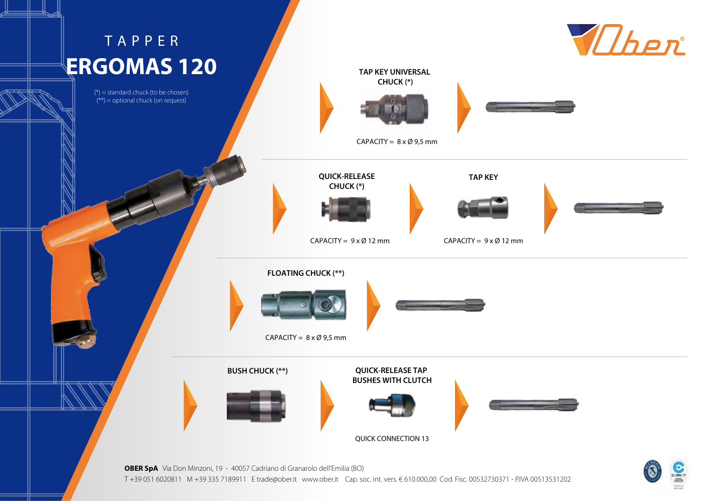## TAPPER **ERGOMAS 120**

 $(*)$  = standard chuck (to be chosen)  $(**)$  = optional chuck (on request)





**OBER SpA** Via Don Minzoni, 19 - 40057 Cadriano di Granarolo dell'Emilia (BO) T +39 051 6020811 M +39 335 7189911 E trade@ober.it www.ober.it Cap. soc. int. vers. € 610.000,00 Cod. Fisc. 00532730371 - P.IVA 00513531202

QUICK CONNECTION 13

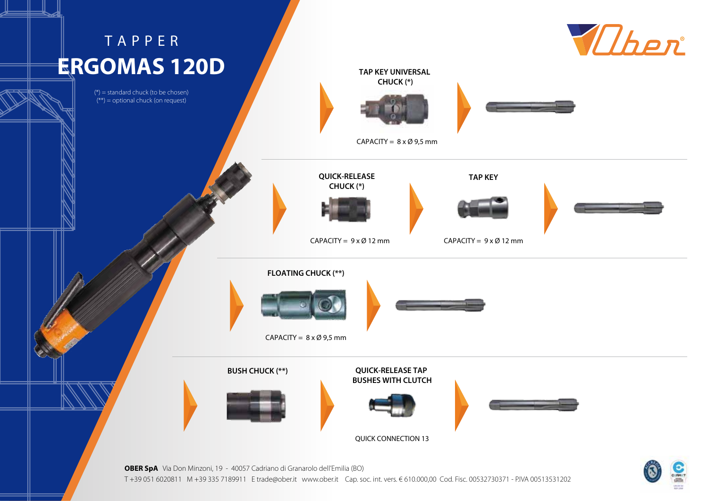## TAPPER **ERGOMAS 120D**

 $(*)$  = standard chuck (to be chosen)  $(**)$  = optional chuck (on request)





**OBER SpA** Via Don Minzoni, 19 - 40057 Cadriano di Granarolo dell'Emilia (BO) T +39 051 6020811 M +39 335 7189911 E trade@ober.it www.ober.it Cap. soc. int. vers. € 610.000,00 Cod. Fisc. 00532730371 - P.IVA 00513531202

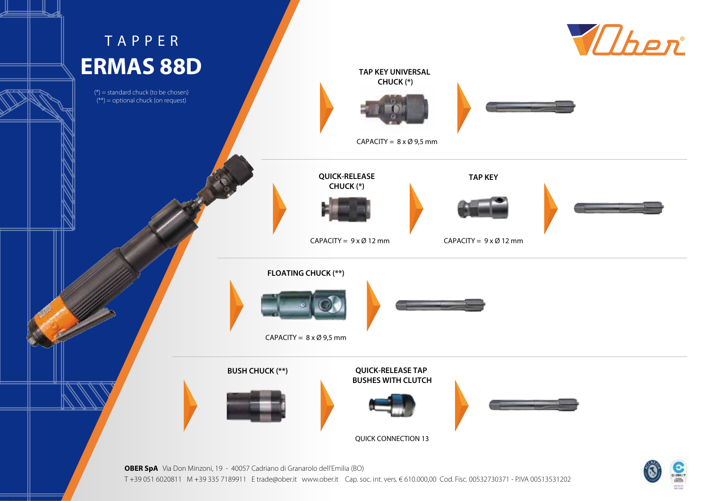

T +39 051 6020811 M +39 335 7189911 E trade@ober.it www.ober.it Cap. soc. int. vers. € 610.000,00 Cod. Fisc. 00532730371 - P.IVA 00513531202

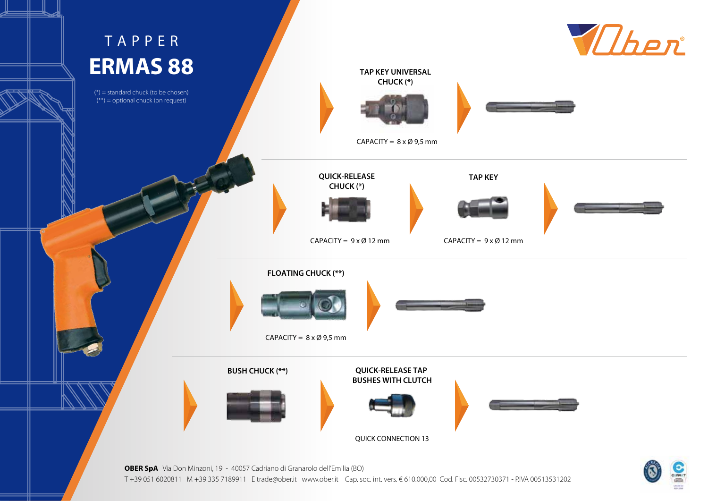

**OBER SpA** Via Don Minzoni, 19 - 40057 Cadriano di Granarolo dell'Emilia (BO) T +39 051 6020811 M +39 335 7189911 E trade@ober.it www.ober.it Cap. soc. int. vers. € 610.000,00 Cod. Fisc. 00532730371 - P.IVA 00513531202